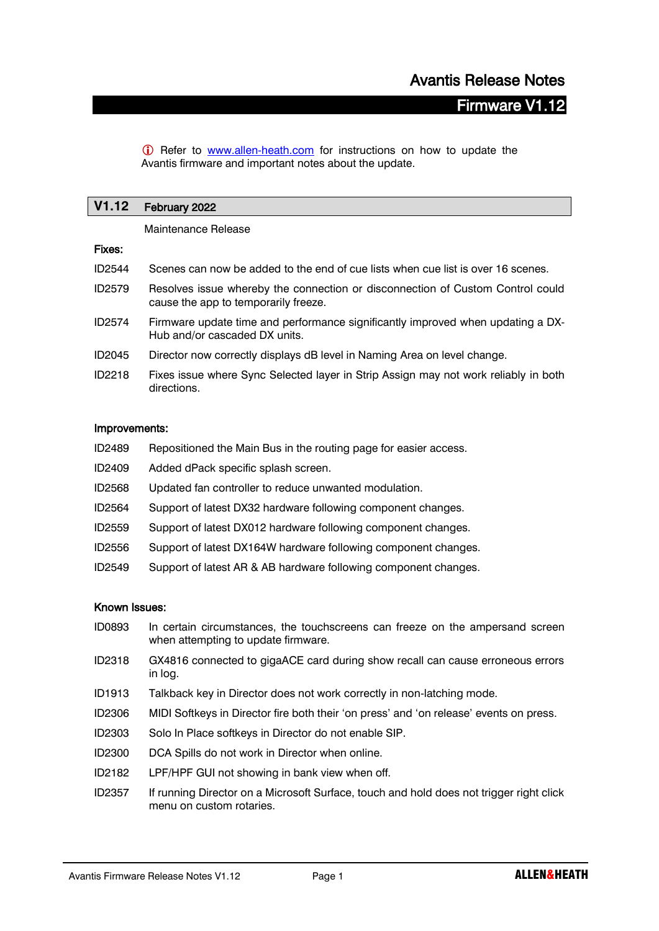# Firmware V1.12

**C** Refer to **[www.allen-heath.com](http://www.allen-heath.com/)** for instructions on how to update the Avantis firmware and important notes about the update.

| V1.12 February 2022 |  |
|---------------------|--|
| Maintenance Release |  |

#### Fixes:

- ID2544 Scenes can now be added to the end of cue lists when cue list is over 16 scenes.
- ID2579 Resolves issue whereby the connection or disconnection of Custom Control could cause the app to temporarily freeze.
- ID2574 Firmware update time and performance significantly improved when updating a DX-Hub and/or cascaded DX units.
- ID2045 Director now correctly displays dB level in Naming Area on level change.
- ID2218 Fixes issue where Sync Selected layer in Strip Assign may not work reliably in both directions.

#### Improvements:

| ID2489 | Repositioned the Main Bus in the routing page for easier access. |
|--------|------------------------------------------------------------------|
| ID2409 | Added dPack specific splash screen.                              |
| ID2568 | Updated fan controller to reduce unwanted modulation.            |
| ID2564 | Support of latest DX32 hardware following component changes.     |
| ID2559 | Support of latest DX012 hardware following component changes.    |
| ID2556 | Support of latest DX164W hardware following component changes.   |
| ID2549 | Support of latest AR & AB hardware following component changes.  |

#### Known Issues:

- ID0893 In certain circumstances, the touchscreens can freeze on the ampersand screen when attempting to update firmware.
- ID2318 GX4816 connected to gigaACE card during show recall can cause erroneous errors in log.
- ID1913 Talkback key in Director does not work correctly in non-latching mode.
- ID2306 MIDI Softkeys in Director fire both their 'on press' and 'on release' events on press.
- ID2303 Solo In Place softkeys in Director do not enable SIP.
- ID2300 DCA Spills do not work in Director when online.
- ID2182 LPF/HPF GUI not showing in bank view when off.
- ID2357 If running Director on a Microsoft Surface, touch and hold does not trigger right click menu on custom rotaries.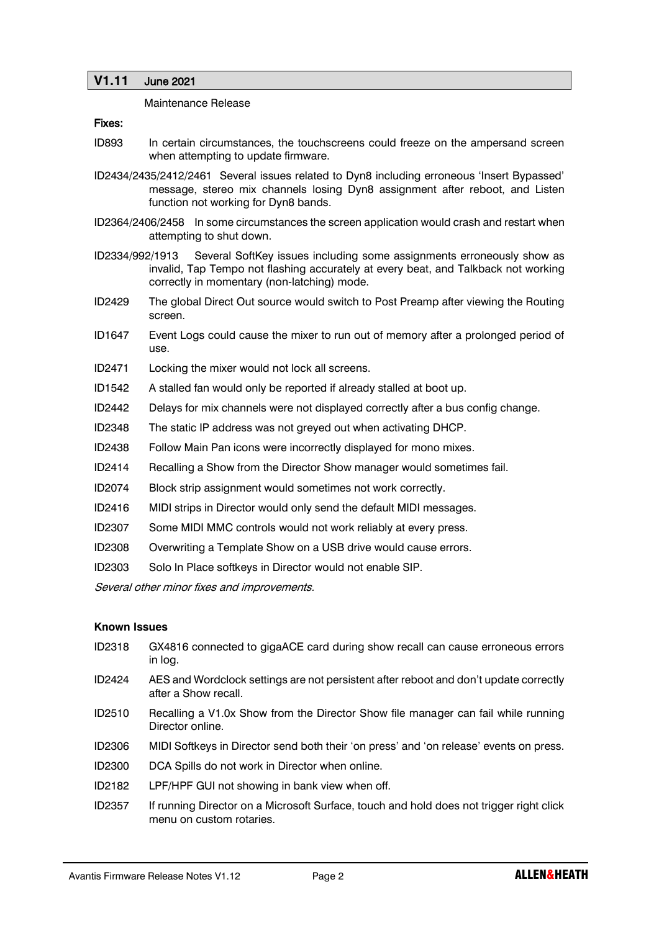## **V1.11** June 2021

Maintenance Release

#### Fixes:

- ID893 In certain circumstances, the touchscreens could freeze on the ampersand screen when attempting to update firmware.
- ID2434/2435/2412/2461 Several issues related to Dyn8 including erroneous 'Insert Bypassed' message, stereo mix channels losing Dyn8 assignment after reboot, and Listen function not working for Dyn8 bands.
- ID2364/2406/2458 In some circumstances the screen application would crash and restart when attempting to shut down.
- ID2334/992/1913 Several SoftKey issues including some assignments erroneously show as invalid, Tap Tempo not flashing accurately at every beat, and Talkback not working correctly in momentary (non-latching) mode.
- ID2429 The global Direct Out source would switch to Post Preamp after viewing the Routing screen.
- ID1647 Event Logs could cause the mixer to run out of memory after a prolonged period of use.
- ID2471 Locking the mixer would not lock all screens.
- ID1542 A stalled fan would only be reported if already stalled at boot up.
- ID2442 Delays for mix channels were not displayed correctly after a bus config change.
- ID2348 The static IP address was not greyed out when activating DHCP.
- ID2438 Follow Main Pan icons were incorrectly displayed for mono mixes.
- ID2414 Recalling a Show from the Director Show manager would sometimes fail.
- ID2074 Block strip assignment would sometimes not work correctly.
- ID2416 MIDI strips in Director would only send the default MIDI messages.
- ID2307 Some MIDI MMC controls would not work reliably at every press.
- ID2308 Overwriting a Template Show on a USB drive would cause errors.
- ID2303 Solo In Place softkeys in Director would not enable SIP.

Several other minor fixes and improvements.

#### **Known Issues**

- ID2318 GX4816 connected to gigaACE card during show recall can cause erroneous errors in log.
- ID2424 AES and Wordclock settings are not persistent after reboot and don't update correctly after a Show recall.
- ID2510 Recalling a V1.0x Show from the Director Show file manager can fail while running Director online.
- ID2306 MIDI Softkeys in Director send both their 'on press' and 'on release' events on press.
- ID2300 DCA Spills do not work in Director when online.
- ID2182 LPF/HPF GUI not showing in bank view when off.
- ID2357 If running Director on a Microsoft Surface, touch and hold does not trigger right click menu on custom rotaries.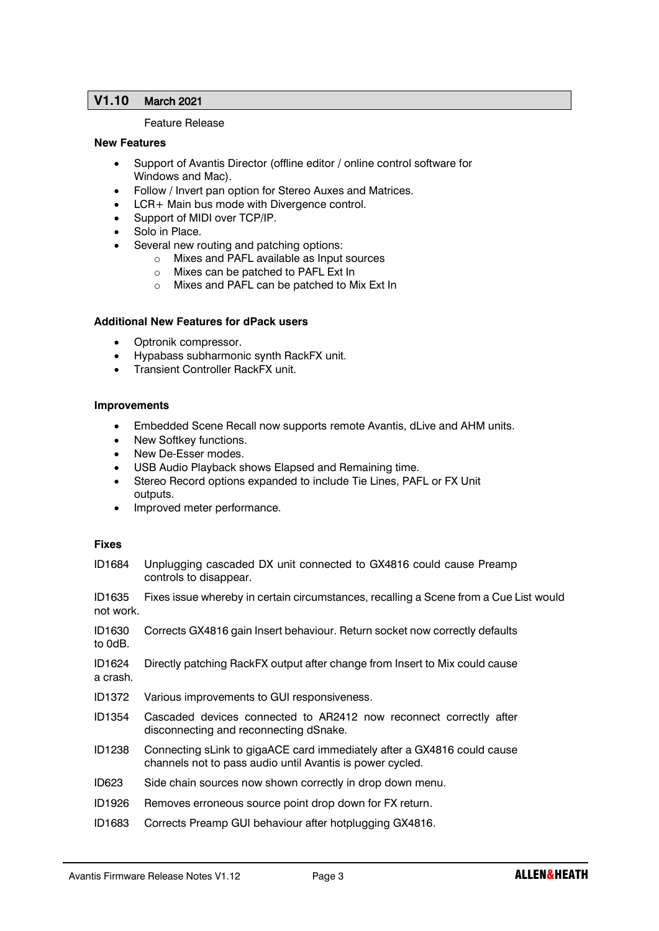## **V1.10** March 2021

#### Feature Release

#### **New Features**

- Support of Avantis Director (offline editor / online control software for Windows and Mac).
- Follow / Invert pan option for Stereo Auxes and Matrices.
- LCR+ Main bus mode with Divergence control.
- Support of MIDI over TCP/IP.
- Solo in Place.
- Several new routing and patching options:
	- o Mixes and PAFL available as Input sources
	- o Mixes can be patched to PAFL Ext In
	- o Mixes and PAFL can be patched to Mix Ext In

#### **Additional New Features for dPack users**

- Optronik compressor.
- Hypabass subharmonic synth RackFX unit.
- Transient Controller RackFX unit.

#### **Improvements**

- Embedded Scene Recall now supports remote Avantis, dLive and AHM units.
- New Softkey functions.
- New De-Esser modes.
- USB Audio Playback shows Elapsed and Remaining time.
- Stereo Record options expanded to include Tie Lines, PAFL or FX Unit outputs.
- Improved meter performance.

#### **Fixes**

ID1684 Unplugging cascaded DX unit connected to GX4816 could cause Preamp controls to disappear.

ID1635 Fixes issue whereby in certain circumstances, recalling a Scene from a Cue List would not work.

ID1630 Corrects GX4816 gain Insert behaviour. Return socket now correctly defaults to 0dB.

ID1624 Directly patching RackFX output after change from Insert to Mix could cause a crash.

- ID1372 Various improvements to GUI responsiveness.
- ID1354 Cascaded devices connected to AR2412 now reconnect correctly after disconnecting and reconnecting dSnake.
- ID1238 Connecting sLink to gigaACE card immediately after a GX4816 could cause channels not to pass audio until Avantis is power cycled.
- ID623 Side chain sources now shown correctly in drop down menu.
- ID1926 Removes erroneous source point drop down for FX return.
- ID1683 Corrects Preamp GUI behaviour after hotplugging GX4816.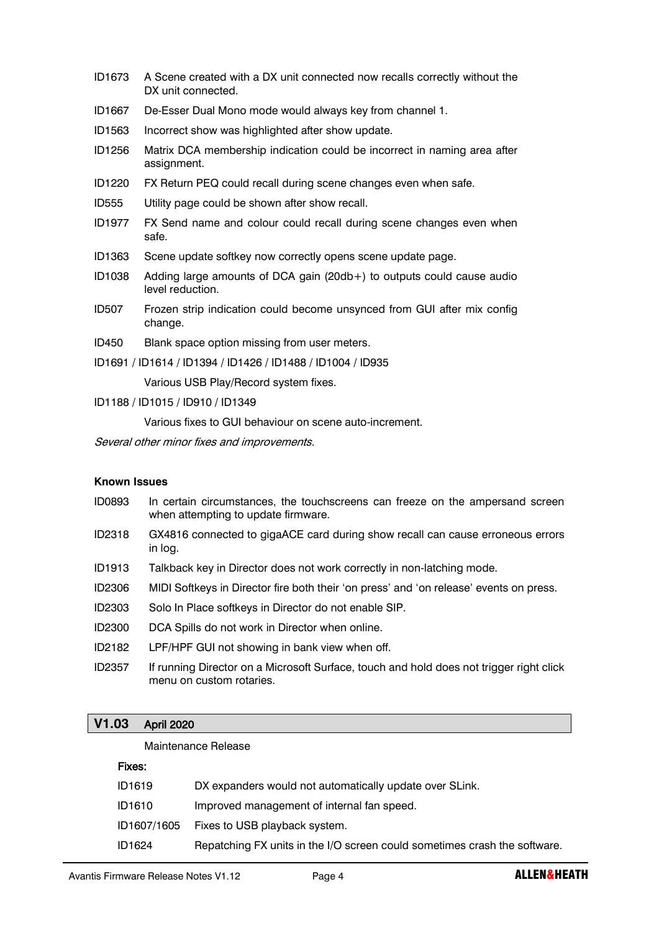- ID1673 A Scene created with a DX unit connected now recalls correctly without the DX unit connected.
- ID1667 De-Esser Dual Mono mode would always key from channel 1.
- ID1563 Incorrect show was highlighted after show update.
- ID1256 Matrix DCA membership indication could be incorrect in naming area after assignment.
- ID1220 FX Return PEQ could recall during scene changes even when safe.
- ID555 Utility page could be shown after show recall.
- ID1977 FX Send name and colour could recall during scene changes even when safe.
- ID1363 Scene update softkey now correctly opens scene update page.
- ID1038 Adding large amounts of DCA gain (20db+) to outputs could cause audio level reduction.
- ID507 Frozen strip indication could become unsynced from GUI after mix config change.
- ID450 Blank space option missing from user meters.
- ID1691 / ID1614 / ID1394 / ID1426 / ID1488 / ID1004 / ID935

Various USB Play/Record system fixes.

ID1188 / ID1015 / ID910 / ID1349

Various fixes to GUI behaviour on scene auto-increment.

Several other minor fixes and improvements.

## **Known Issues**

- ID0893 In certain circumstances, the touchscreens can freeze on the ampersand screen when attempting to update firmware.
- ID2318 GX4816 connected to gigaACE card during show recall can cause erroneous errors in log.
- ID1913 Talkback key in Director does not work correctly in non-latching mode.
- ID2306 MIDI Softkeys in Director fire both their 'on press' and 'on release' events on press.
- ID2303 Solo In Place softkeys in Director do not enable SIP.
- ID2300 DCA Spills do not work in Director when online.
- ID2182 LPF/HPF GUI not showing in bank view when off.
- ID2357 If running Director on a Microsoft Surface, touch and hold does not trigger right click menu on custom rotaries.

## **V1.03** April 2020

#### Maintenance Release

#### Fixes:

| ID1619      | DX expanders would not automatically update over SLink.                   |
|-------------|---------------------------------------------------------------------------|
| ID1610      | Improved management of internal fan speed.                                |
| ID1607/1605 | Fixes to USB playback system.                                             |
| ID1624      | Repatching FX units in the I/O screen could sometimes crash the software. |
|             |                                                                           |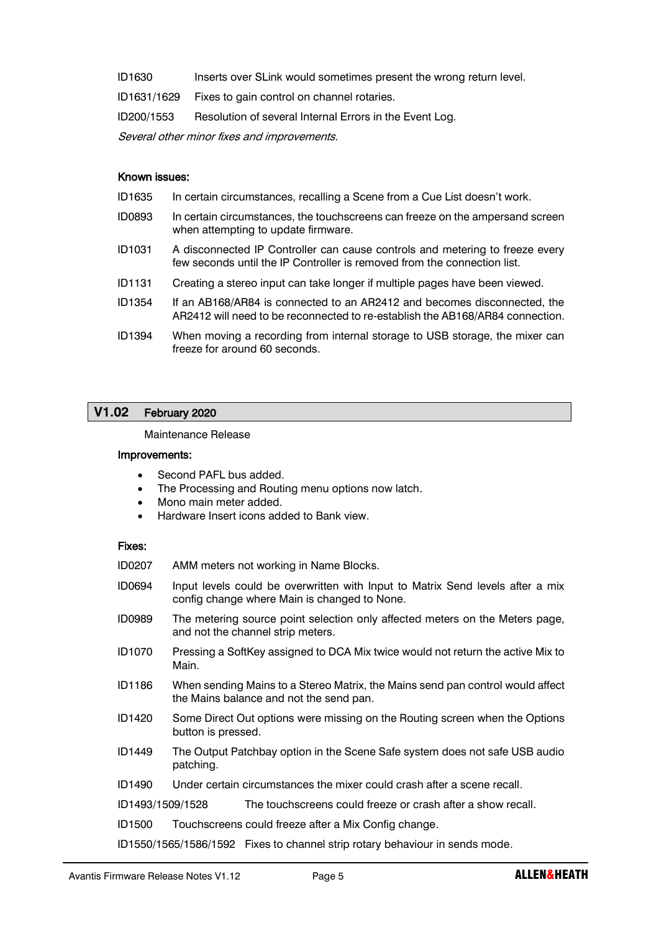| ID1630 | Inserts over SLink would sometimes present the wrong return level. |  |
|--------|--------------------------------------------------------------------|--|
|        |                                                                    |  |

ID1631/1629 Fixes to gain control on channel rotaries.

ID200/1553 Resolution of several Internal Errors in the Event Log.

Several other minor fixes and improvements.

#### Known issues:

- ID1635 In certain circumstances, recalling a Scene from a Cue List doesn't work.
- ID0893 In certain circumstances, the touchscreens can freeze on the ampersand screen when attempting to update firmware.
- ID1031 A disconnected IP Controller can cause controls and metering to freeze every few seconds until the IP Controller is removed from the connection list.
- ID1131 Creating a stereo input can take longer if multiple pages have been viewed.
- ID1354 If an AB168/AR84 is connected to an AR2412 and becomes disconnected, the AR2412 will need to be reconnected to re-establish the AB168/AR84 connection.
- ID1394 When moving a recording from internal storage to USB storage, the mixer can freeze for around 60 seconds.

## **V1.02** February 2020

Maintenance Release

#### Improvements:

- Second PAFL bus added.
- The Processing and Routing menu options now latch.
- Mono main meter added.
- Hardware Insert icons added to Bank view.

#### Fixes:

| ID0207           |                                                                                                                           | AMM meters not working in Name Blocks.                                                                                         |
|------------------|---------------------------------------------------------------------------------------------------------------------------|--------------------------------------------------------------------------------------------------------------------------------|
| ID0694           |                                                                                                                           | Input levels could be overwritten with Input to Matrix Send levels after a mix<br>config change where Main is changed to None. |
| ID0989           |                                                                                                                           | The metering source point selection only affected meters on the Meters page,<br>and not the channel strip meters.              |
| ID1070           | Main.                                                                                                                     | Pressing a SoftKey assigned to DCA Mix twice would not return the active Mix to                                                |
| ID1186           | When sending Mains to a Stereo Matrix, the Mains send pan control would affect<br>the Mains balance and not the send pan. |                                                                                                                                |
| ID1420           | button is pressed.                                                                                                        | Some Direct Out options were missing on the Routing screen when the Options                                                    |
| ID1449           | patching.                                                                                                                 | The Output Patchbay option in the Scene Safe system does not safe USB audio                                                    |
| ID1490           |                                                                                                                           | Under certain circumstances the mixer could crash after a scene recall.                                                        |
| ID1493/1509/1528 |                                                                                                                           | The touchscreens could freeze or crash after a show recall.                                                                    |
| ID1500           |                                                                                                                           | Touchscreens could freeze after a Mix Config change.                                                                           |
|                  |                                                                                                                           | ID1550/1565/1586/1592 Fixes to channel strip rotary behaviour in sends mode.                                                   |